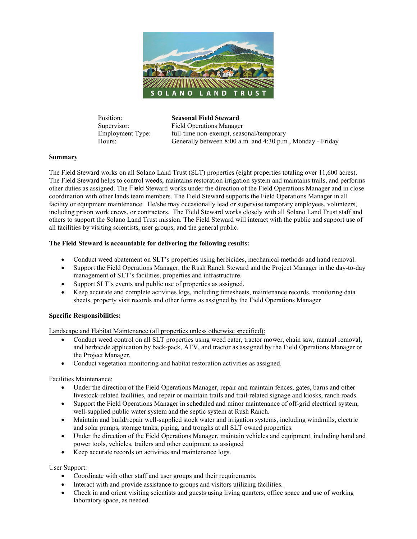

Position: **Seasonal Field Steward**

Supervisor: Field Operations Manager Employment Type: full-time non-exempt, seasonal/temporary Hours: Generally between 8:00 a.m. and 4:30 p.m., Monday - Friday

#### **Summary**

The Field Steward works on all Solano Land Trust (SLT) properties (eight properties totaling over 11,600 acres). The Field Steward helps to control weeds, maintains restoration irrigation system and maintains trails, and performs other duties as assigned. The Field Steward works under the direction of the Field Operations Manager and in close coordination with other lands team members. The Field Steward supports the Field Operations Manager in all facility or equipment maintenance. He/she may occasionally lead or supervise temporary employees, volunteers, including prison work crews, or contractors. The Field Steward works closely with all Solano Land Trust staff and others to support the Solano Land Trust mission. The Field Steward will interact with the public and support use of all facilities by visiting scientists, user groups, and the general public.

### **The Field Steward is accountable for delivering the following results:**

- Conduct weed abatement on SLT's properties using herbicides, mechanical methods and hand removal.
- Support the Field Operations Manager, the Rush Ranch Steward and the Project Manager in the day-to-day management of SLT's facilities, properties and infrastructure.
- Support SLT's events and public use of properties as assigned.
- Keep accurate and complete activities logs, including timesheets, maintenance records, monitoring data sheets, property visit records and other forms as assigned by the Field Operations Manager

#### **Specific Responsibilities:**

Landscape and Habitat Maintenance (all properties unless otherwise specified):

- Conduct weed control on all SLT properties using weed eater, tractor mower, chain saw, manual removal, and herbicide application by back-pack, ATV, and tractor as assigned by the Field Operations Manager or the Project Manager.
- Conduct vegetation monitoring and habitat restoration activities as assigned.

Facilities Maintenance:

- Under the direction of the Field Operations Manager, repair and maintain fences, gates, barns and other livestock-related facilities, and repair or maintain trails and trail-related signage and kiosks, ranch roads.
- Support the Field Operations Manager in scheduled and minor maintenance of off-grid electrical system, well-supplied public water system and the septic system at Rush Ranch.
- Maintain and build/repair well-supplied stock water and irrigation systems, including windmills, electric and solar pumps, storage tanks, piping, and troughs at all SLT owned properties.
- Under the direction of the Field Operations Manager, maintain vehicles and equipment, including hand and power tools, vehicles, trailers and other equipment as assigned
- Keep accurate records on activities and maintenance logs.

#### User Support:

- Coordinate with other staff and user groups and their requirements.
- Interact with and provide assistance to groups and visitors utilizing facilities.
- Check in and orient visiting scientists and guests using living quarters, office space and use of working laboratory space, as needed.